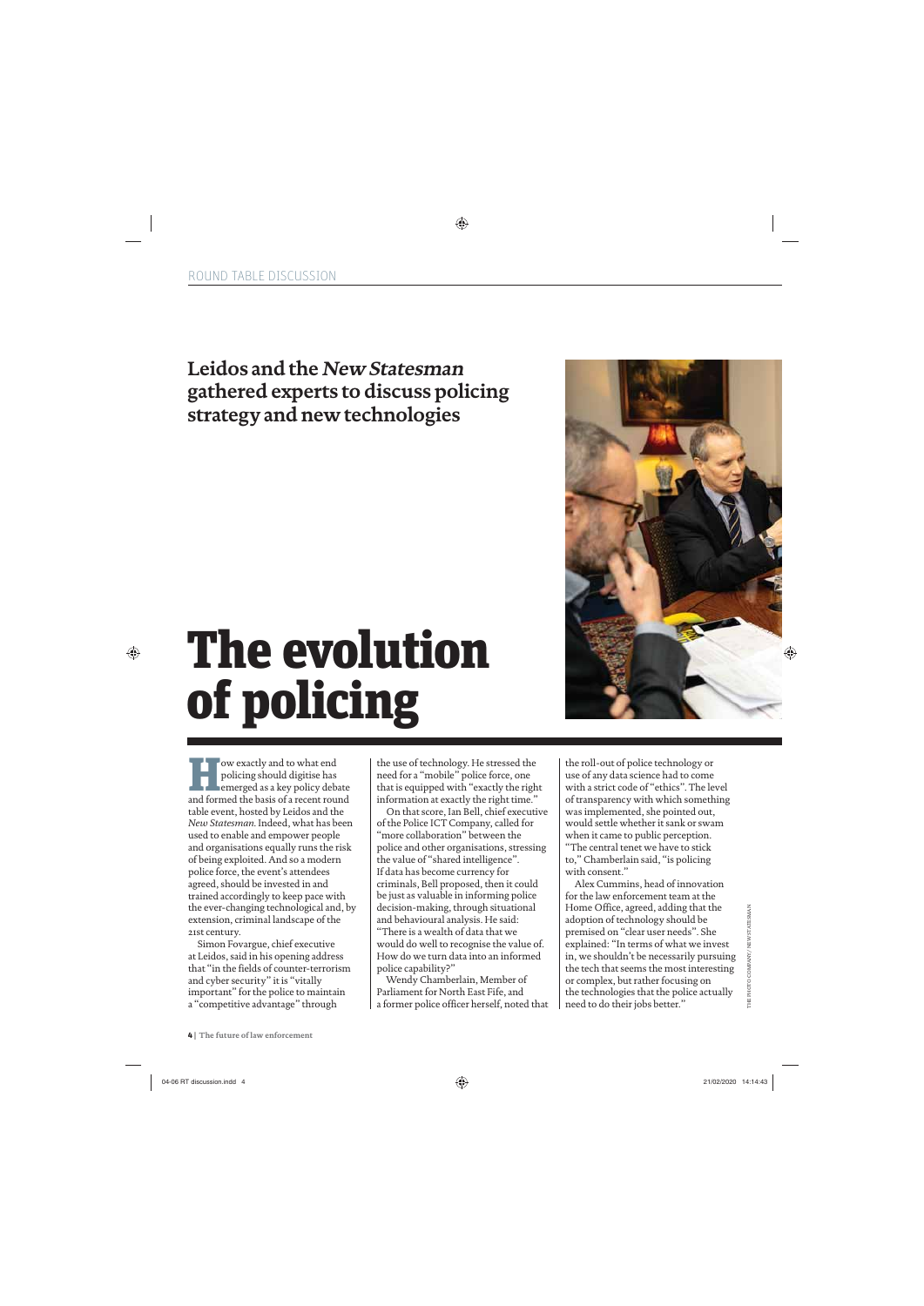## **Leidos and the New Statesman gathered experts to discuss policing strategy and new technologies**

## The evolution of policing

wexactly and to what end<br>policing should digitise has<br>emerged as a key policy deb<br>and formed the basis of a recent rou policing should digitise has emerged as a key policy debate and formed the basis of a recent round table event, hosted by Leidos and the *New Statesman*. Indeed, what has been used to enable and empower people and organisations equally runs the risk of being exploited. And so a modern police force, the event's attendees agreed, should be invested in and trained accordingly to keep pace with the ever-changing technological and, by extension, criminal landscape of the 21st century.

Simon Fovargue, chief executive at Leidos, said in his opening address that "in the fields of counter-terrorism and cyber security" it is "vitally important" for the police to maintain a "competitive advantage" through

the use of technology. He stressed the need for a "mobile" police force, one that is equipped with "exactly the right information at exactly the right time."

On that score, Ian Bell, chief executive of the Police ICT Company, called for "more collaboration" between the police and other organisations, stressing the value of "shared intelligence". If data has become currency for criminals, Bell proposed, then it could be just as valuable in informing police decision-making, through situational and behavioural analysis. He said: "There is a wealth of data that we would do well to recognise the value of. How do we turn data into an informed

Wendy Chamberlain, Member of Parliament for North East Fife, and a former police officer herself, noted that

police capability?"

the roll-out of police technology or use of any data science had to come with a strict code of "ethics". The level of transparency with which something was implemented, she pointed out, would settle whether it sank or swam when it came to public perception. "The central tenet we have to stick to," Chamberlain said, "is policing with consent."

Alex Cummins, head of innovation for the law enforcement team at the Home Office, agreed, adding that the adoption of technology should be premised on "clear user needs". She explained: "In terms of what we invest in, we shouldn't be necessarily pursuing the tech that seems the most interesting or complex, but rather focusing on the technologies that the police actually need to do their jobs better."

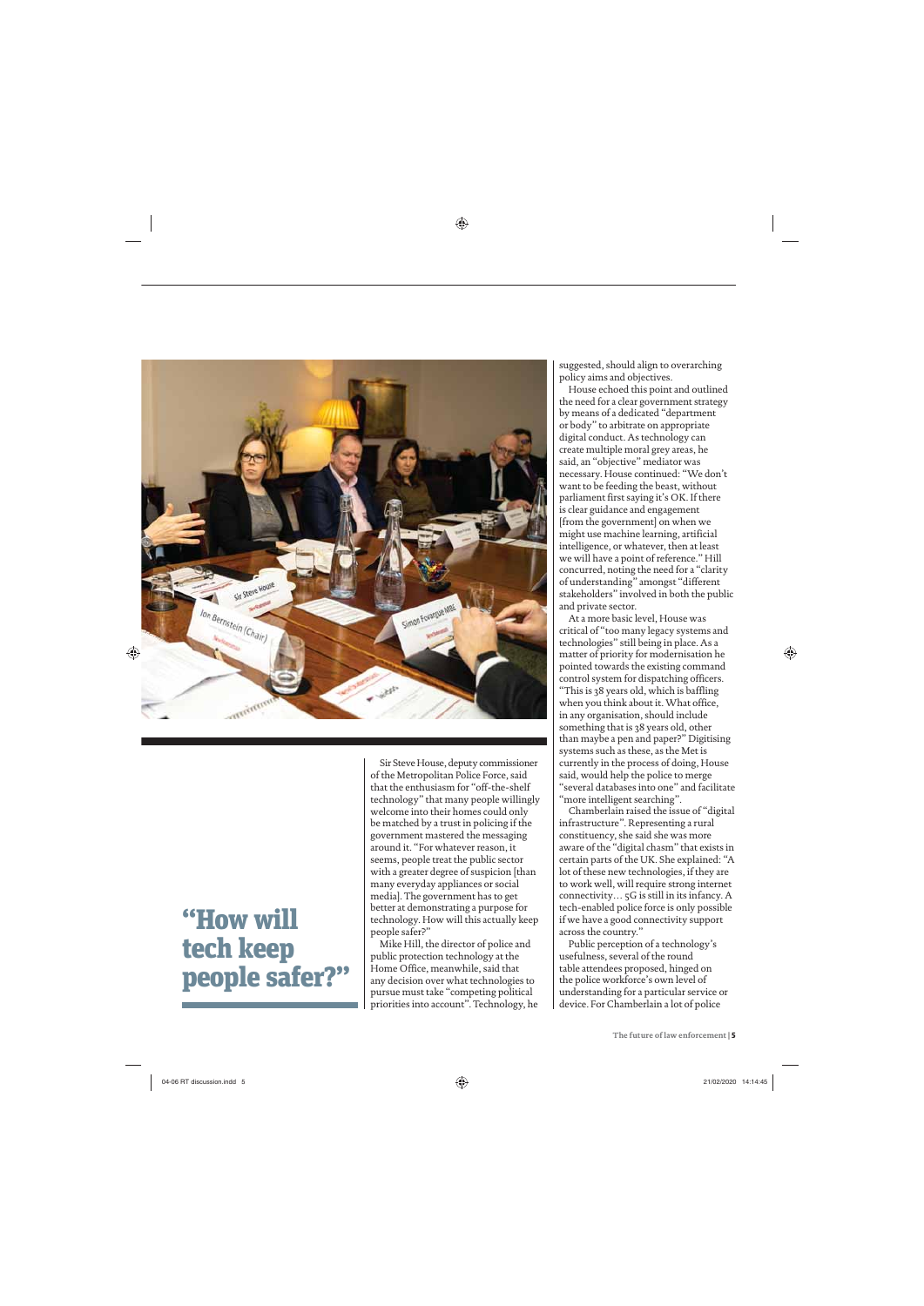

## "How will tech keep people safer?"

Sir Steve House, deputy commissioner of the Metropolitan Police Force, said that the enthusiasm for "off-the-shelf technology" that many people willingly welcome into their homes could only be matched by a trust in policing if the government mastered the messaging around it. "For whatever reason, it seems, people treat the public sector with a greater degree of suspicion [than many everyday appliances or social media]. The government has to get better at demonstrating a purpose for technology. How will this actually keep people safer?"

Mike Hill, the director of police and public protection technology at the Home Office, meanwhile, said that any decision over what technologies to pursue must take "competing political priorities into account". Technology, he suggested, should align to overarching policy aims and objectives.

House echoed this point and outlined the need for a clear government strategy by means of a dedicated "department or body" to arbitrate on appropriate digital conduct. As technology can create multiple moral grey areas, he said, an "objective" mediator was necessary. House continued: "We don't want to be feeding the beast, without parliament first saying it's OK. If there is clear guidance and engagement [from the government] on when we might use machine learning, artificial intelligence, or whatever, then at least we will have a point of reference." Hill concurred, noting the need for a "clarity of understanding" amongst "different stakeholders" involved in both the public and private sector.

At a more basic level, House was critical of "too many legacy systems and technologies" still being in place. As a matter of priority for modernisation he pointed towards the existing command control system for dispatching officers.

"This is 38 years old, which is baffling when you think about it. What office, in any organisation, should include something that is 38 years old, other than maybe a pen and paper?" Digitising systems such as these, as the Met is currently in the process of doing, House said, would help the police to merge "several databases into one" and facilitate "more intelligent searching".

Chamberlain raised the issue of "digital infrastructure". Representing a rural constituency, she said she was more aware of the "digital chasm" that exists in certain parts of the UK. She explained: "A lot of these new technologies, if they are to work well, will require strong internet connectivity… 5G is still in its infancy. A tech-enabled police force is only possible if we have a good connectivity support across the country."

Public perception of a technology's usefulness, several of the round table attendees proposed, hinged on the police workforce's own level of understanding for a particular service or device. For Chamberlain a lot of police